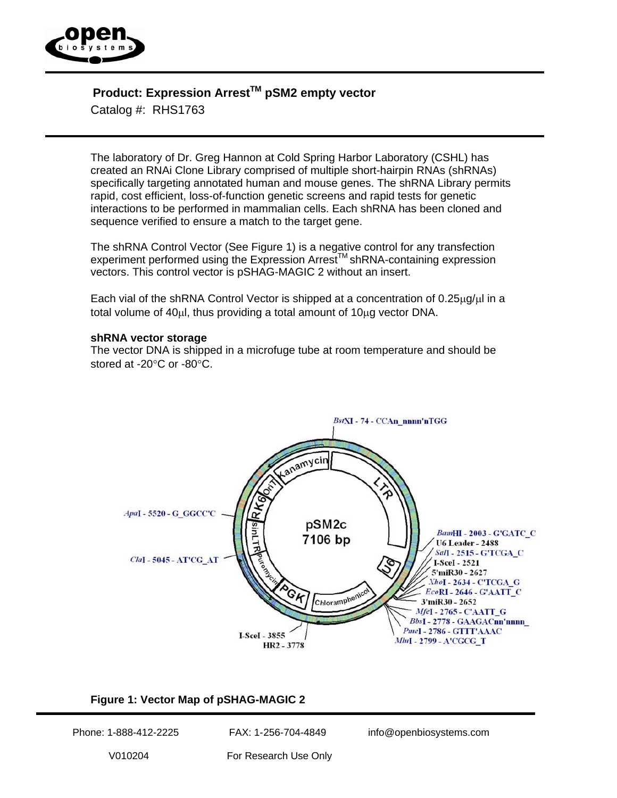

# **Product: Expression Arrest™ pSM2 empty vector**

Catalog #: RHS1763

The laboratory of Dr. Greg Hannon at Cold Spring Harbor Laboratory (CSHL) has created an RNAi Clone Library comprised of multiple short-hairpin RNAs (shRNAs) specifically targeting annotated human and mouse genes. The shRNA Library permits rapid, cost efficient, loss-of-function genetic screens and rapid tests for genetic interactions to be performed in mammalian cells. Each shRNA has been cloned and sequence verified to ensure a match to the target gene.

The shRNA Control Vector (See Figure 1) is a negative control for any transfection experiment performed using the Expression Arrest™ shRNA-containing expression vectors. This control vector is pSHAG-MAGIC 2 without an insert.

Each vial of the shRNA Control Vector is shipped at a concentration of  $0.25\mu g/\mu l$  in a total volume of 40µl, thus providing a total amount of 10µg vector DNA.

#### **shRNA vector storage**

The vector DNA is shipped in a microfuge tube at room temperature and should be stored at -20°C or -80°C.



## **Figure 1: Vector Map of pSHAG-MAGIC 2**

Phone: 1-888-412-2225 FAX: 1-256-704-4849 info@openbiosystems.com

V010204 For Research Use Only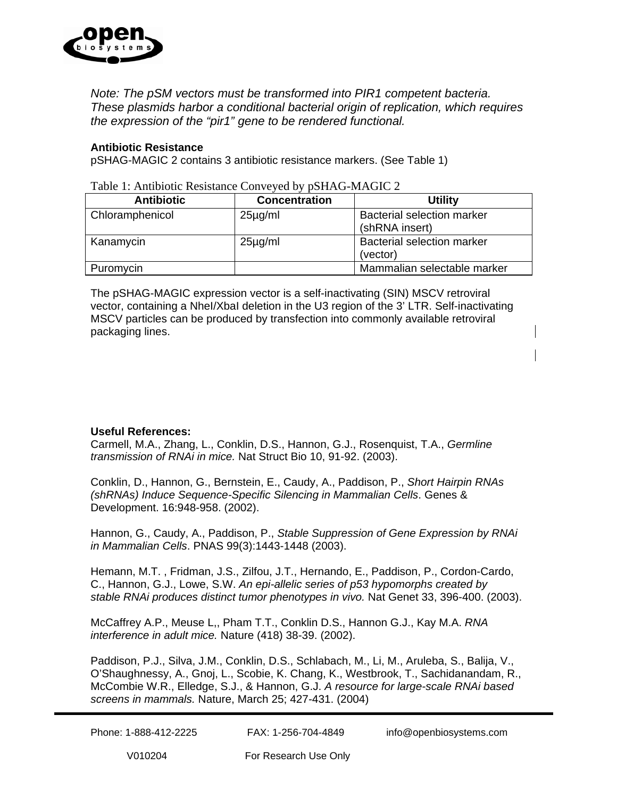

*Note: The pSM vectors must be transformed into PIR1 competent bacteria. These plasmids harbor a conditional bacterial origin of replication, which requires the expression of the "pir1" gene to be rendered functional.*

#### **Antibiotic Resistance**

pSHAG-MAGIC 2 contains 3 antibiotic resistance markers. (See Table 1)

| <b>Antibiotic</b> | <b>Concentration</b> | <b>Utility</b>                                      |
|-------------------|----------------------|-----------------------------------------------------|
| Chloramphenicol   | $25\mu$ g/ml         | <b>Bacterial selection marker</b><br>(shRNA insert) |
| Kanamycin         | $25\mu$ g/ml         | <b>Bacterial selection marker</b><br>(vector)       |
| Puromycin         |                      | Mammalian selectable marker                         |

Table 1: Antibiotic Resistance Conveyed by pSHAG-MAGIC 2

The pSHAG-MAGIC expression vector is a self-inactivating (SIN) MSCV retroviral vector, containing a NheI/XbaI deletion in the U3 region of the 3' LTR. Self-inactivating MSCV particles can be produced by transfection into commonly available retroviral packaging lines.

### **Useful References:**

Carmell, M.A., Zhang, L., Conklin, D.S., Hannon, G.J., Rosenquist, T.A., *Germline transmission of RNAi in mice.* Nat Struct Bio 10, 91-92. (2003).

Conklin, D., Hannon, G., Bernstein, E., Caudy, A., Paddison, P., *Short Hairpin RNAs (shRNAs) Induce Sequence-Specific Silencing in Mammalian Cells*. Genes & Development. 16:948-958. (2002).

Hannon, G., Caudy, A., Paddison, P., *Stable Suppression of Gene Expression by RNAi in Mammalian Cells*. PNAS 99(3):1443-1448 (2003).

Hemann, M.T. , Fridman, J.S., Zilfou, J.T., Hernando, E., Paddison, P., Cordon-Cardo, C., Hannon, G.J., Lowe, S.W. *An epi-allelic series of p53 hypomorphs created by*  stable RNAi produces distinct tumor phenotypes in vivo. Nat Genet 33, 396-400. (2003).

McCaffrey A.P., Meuse L,, Pham T.T., Conklin D.S., Hannon G.J., Kay M.A. *RNA interference in adult mice.* Nature (418) 38-39. (2002).

Paddison, P.J., Silva, J.M., Conklin, D.S., Schlabach, M., Li, M., Aruleba, S., Balija, V., O'Shaughnessy, A., Gnoj, L., Scobie, K. Chang, K., Westbrook, T., Sachidanandam, R., McCombie W.R., Elledge, S.J., & Hannon, G.J. *A resource for large-scale RNAi based screens in mammals.* Nature, March 25; 427-431. (2004)

Phone: 1-888-412-2225 FAX: 1-256-704-4849 info@openbiosystems.com